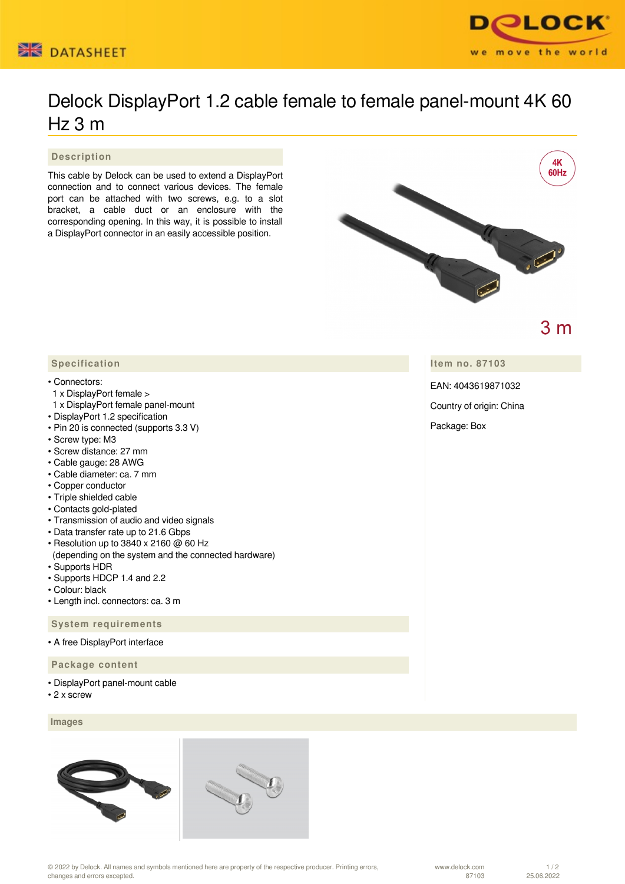



# Delock DisplayPort 1.2 cable female to female panel-mount 4K 60 Hz 3 m

 **Description**

This cable by Delock can be used to extend a DisplayPort connection and to connect various devices. The female port can be attached with two screws, e.g. to a slot bracket, a cable duct or an enclosure with the corresponding opening. In this way, it is possible to install a DisplayPort connector in an easily accessible position.



 $3<sub>m</sub>$ 

## **Item no. 87103**

EAN: 4043619871032

Country of origin: China

Package: Box

### **Specification**

#### • Connectors:

- 1 x DisplayPort female >
- 1 x DisplayPort female panel-mount
- DisplayPort 1.2 specification
- Pin 20 is connected (supports 3.3 V)
- Screw type: M3
- Screw distance: 27 mm
- Cable gauge: 28 AWG
- Cable diameter: ca. 7 mm
- Copper conductor
- Triple shielded cable
- Contacts gold-plated
- Transmission of audio and video signals
- Data transfer rate up to 21.6 Gbps
- Resolution up to 3840 x 2160 @ 60 Hz
- (depending on the system and the connected hardware) • Supports HDR
- Supports HDCP 1.4 and 2.2
- Colour: black
- Length incl. connectors: ca. 3 m

 **System requirements**

• A free DisplayPort interface

 **Package content**

- DisplayPort panel-mount cable
- 2 x screw

### **Images**